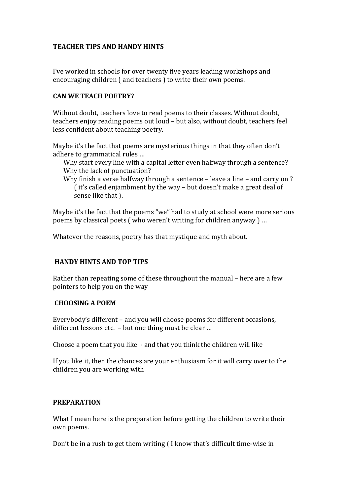# **TEACHER TIPS AND HANDY HINTS**

I've worked in schools for over twenty five years leading workshops and encouraging children ( and teachers ) to write their own poems.

#### **CAN WE TEACH POETRY?**

Without doubt, teachers love to read poems to their classes. Without doubt, teachers enjoy reading poems out loud – but also, without doubt, teachers feel less confident about teaching poetry.

Maybe it's the fact that poems are mysterious things in that they often don't adhere to grammatical rules …

- Why start every line with a capital letter even halfway through a sentence? Why the lack of punctuation?
- Why finish a verse halfway through a sentence leave a line and carry on ? ( it's called enjambment by the way – but doesn't make a great deal of sense like that ).

Maybe it's the fact that the poems "we" had to study at school were more serious poems by classical poets ( who weren't writing for children anyway ) …

Whatever the reasons, poetry has that mystique and myth about.

## **HANDY HINTS AND TOP TIPS**

Rather than repeating some of these throughout the manual – here are a few pointers to help you on the way

## **CHOOSING A POEM**

Everybody's different – and you will choose poems for different occasions, different lessons etc. – but one thing must be clear …

Choose a poem that you like - and that you think the children will like

If you like it, then the chances are your enthusiasm for it will carry over to the children you are working with

#### **PREPARATION**

What I mean here is the preparation before getting the children to write their own poems.

Don't be in a rush to get them writing ( I know that's difficult time-wise in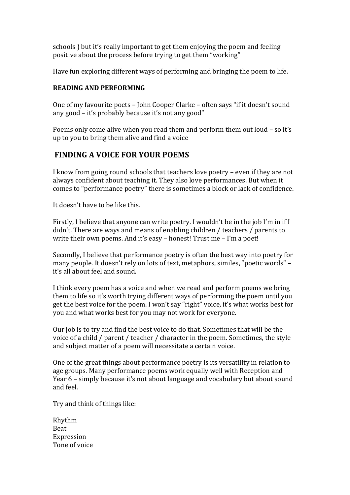schools ) but it's really important to get them enjoying the poem and feeling positive about the process before trying to get them "working"

Have fun exploring different ways of performing and bringing the poem to life.

# **READING AND PERFORMING**

One of my favourite poets – John Cooper Clarke – often says "if it doesn't sound any good – it's probably because it's not any good"

Poems only come alive when you read them and perform them out loud – so it's up to you to bring them alive and find a voice

# **FINDING A VOICE FOR YOUR POEMS**

I know from going round schools that teachers love poetry – even if they are not always confident about teaching it. They also love performances. But when it comes to "performance poetry" there is sometimes a block or lack of confidence.

It doesn't have to be like this.

Firstly, I believe that anyone can write poetry. I wouldn't be in the job I'm in if I didn't. There are ways and means of enabling children / teachers / parents to write their own poems. And it's easy – honest! Trust me – I'm a poet!

Secondly, I believe that performance poetry is often the best way into poetry for many people. It doesn't rely on lots of text, metaphors, similes, "poetic words" – it's all about feel and sound.

I think every poem has a voice and when we read and perform poems we bring them to life so it's worth trying different ways of performing the poem until you get the best voice for the poem. I won't say "right" voice, it's what works best for you and what works best for you may not work for everyone.

Our job is to try and find the best voice to do that. Sometimes that will be the voice of a child / parent / teacher / character in the poem. Sometimes, the style and subject matter of a poem will necessitate a certain voice.

One of the great things about performance poetry is its versatility in relation to age groups. Many performance poems work equally well with Reception and Year 6 – simply because it's not about language and vocabulary but about sound and feel.

Try and think of things like:

| Rhythm        |
|---------------|
| <b>Beat</b>   |
| Expression    |
| Tone of voice |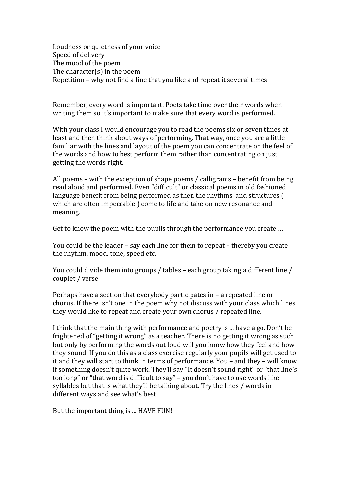Loudness or quietness of your voice Speed of delivery The mood of the poem The character(s) in the poem Repetition – why not find a line that you like and repeat it several times

Remember, every word is important. Poets take time over their words when writing them so it's important to make sure that every word is performed.

With your class I would encourage you to read the poems six or seven times at least and then think about ways of performing. That way, once you are a little familiar with the lines and layout of the poem you can concentrate on the feel of the words and how to best perform them rather than concentrating on just getting the words right.

All poems – with the exception of shape poems / calligrams – benefit from being read aloud and performed. Even "difficult" or classical poems in old fashioned language benefit from being performed as then the rhythms and structures ( which are often impeccable ) come to life and take on new resonance and meaning.

Get to know the poem with the pupils through the performance you create …

You could be the leader – say each line for them to repeat – thereby you create the rhythm, mood, tone, speed etc.

You could divide them into groups / tables – each group taking a different line / couplet / verse

Perhaps have a section that everybody participates in – a repeated line or chorus. If there isn't one in the poem why not discuss with your class which lines they would like to repeat and create your own chorus / repeated line.

I think that the main thing with performance and poetry is ... have a go. Don't be frightened of "getting it wrong" as a teacher. There is no getting it wrong as such but only by performing the words out loud will you know how they feel and how they sound. If you do this as a class exercise regularly your pupils will get used to it and they will start to think in terms of performance. You – and they – will know if something doesn't quite work. They'll say "It doesn't sound right" or "that line's too long" or "that word is difficult to say" – you don't have to use words like syllables but that is what they'll be talking about. Try the lines / words in different ways and see what's best.

But the important thing is ... HAVE FUN!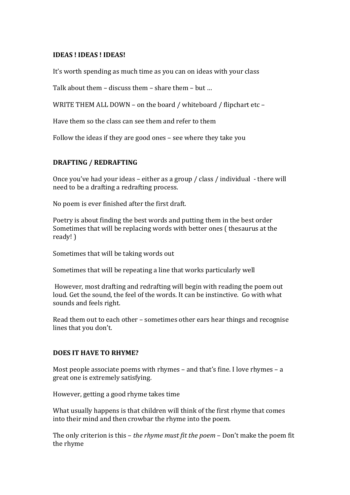#### **IDEAS ! IDEAS ! IDEAS!**

It's worth spending as much time as you can on ideas with your class

Talk about them – discuss them – share them – but …

WRITE THEM ALL DOWN – on the board / whiteboard / flipchart etc –

Have them so the class can see them and refer to them

Follow the ideas if they are good ones – see where they take you

# **DRAFTING / REDRAFTING**

Once you've had your ideas – either as a group / class / individual - there will need to be a drafting a redrafting process.

No poem is ever finished after the first draft.

Poetry is about finding the best words and putting them in the best order Sometimes that will be replacing words with better ones ( thesaurus at the ready! )

Sometimes that will be taking words out

Sometimes that will be repeating a line that works particularly well

However, most drafting and redrafting will begin with reading the poem out loud. Get the sound, the feel of the words. It can be instinctive. Go with what sounds and feels right.

Read them out to each other – sometimes other ears hear things and recognise lines that you don't.

#### **DOES IT HAVE TO RHYME?**

Most people associate poems with rhymes – and that's fine. I love rhymes – a great one is extremely satisfying.

However, getting a good rhyme takes time

What usually happens is that children will think of the first rhyme that comes into their mind and then crowbar the rhyme into the poem.

The only criterion is this – *the rhyme must fit the poem* – Don't make the poem fit the rhyme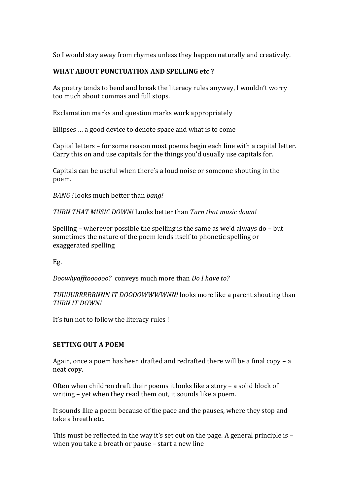So I would stay away from rhymes unless they happen naturally and creatively.

# **WHAT ABOUT PUNCTUATION AND SPELLING etc ?**

As poetry tends to bend and break the literacy rules anyway, I wouldn't worry too much about commas and full stops.

Exclamation marks and question marks work appropriately

Ellipses … a good device to denote space and what is to come

Capital letters – for some reason most poems begin each line with a capital letter. Carry this on and use capitals for the things you'd usually use capitals for.

Capitals can be useful when there's a loud noise or someone shouting in the poem.

*BANG !* looks much better than *bang!*

*TURN THAT MUSIC DOWN!* Looks better than *Turn that music down!*

Spelling – wherever possible the spelling is the same as we'd always do – but sometimes the nature of the poem lends itself to phonetic spelling or exaggerated spelling

Eg.

*Doowhyafftoooooo?* conveys much more than *Do I have to?*

*TUUUURRRRRNNN IT DOOOOWWWWNN!* looks more like a parent shouting than *TURN IT DOWN!*

It's fun not to follow the literacy rules !

## **SETTING OUT A POEM**

Again, once a poem has been drafted and redrafted there will be a final copy – a neat copy.

Often when children draft their poems it looks like a story – a solid block of writing – yet when they read them out, it sounds like a poem.

It sounds like a poem because of the pace and the pauses, where they stop and take a breath etc.

This must be reflected in the way it's set out on the page. A general principle is – when you take a breath or pause – start a new line